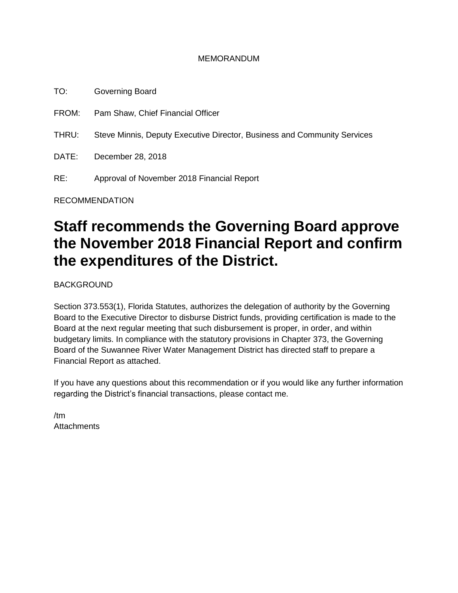#### MEMORANDUM

TO: Governing Board FROM: Pam Shaw, Chief Financial Officer THRU: Steve Minnis, Deputy Executive Director, Business and Community Services DATE: December 28, 2018 RE: Approval of November 2018 Financial Report

RECOMMENDATION

# **Staff recommends the Governing Board approve the November 2018 Financial Report and confirm the expenditures of the District.**

BACKGROUND

Section 373.553(1), Florida Statutes, authorizes the delegation of authority by the Governing Board to the Executive Director to disburse District funds, providing certification is made to the Board at the next regular meeting that such disbursement is proper, in order, and within budgetary limits. In compliance with the statutory provisions in Chapter 373, the Governing Board of the Suwannee River Water Management District has directed staff to prepare a Financial Report as attached.

If you have any questions about this recommendation or if you would like any further information regarding the District's financial transactions, please contact me.

/tm **Attachments**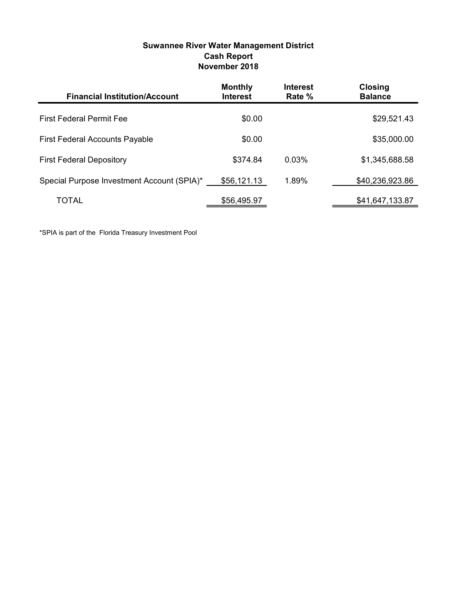| Suwannee River Water Management District |
|------------------------------------------|
| <b>Cash Report</b>                       |
| November 2018                            |

| <b>Financial Institution/Account</b>       | <b>Monthly</b><br><b>Interest</b> | <b>Interest</b><br>Rate % | <b>Closing</b><br><b>Balance</b> |
|--------------------------------------------|-----------------------------------|---------------------------|----------------------------------|
| <b>First Federal Permit Fee</b>            | \$0.00                            |                           | \$29,521.43                      |
| <b>First Federal Accounts Payable</b>      | \$0.00                            |                           | \$35,000.00                      |
| <b>First Federal Depository</b>            | \$374.84                          | $0.03\%$                  | \$1,345,688.58                   |
| Special Purpose Investment Account (SPIA)* | \$56,121.13                       | 1.89%                     | \$40,236,923.86                  |
| TOTAL                                      | \$56,495.97                       |                           | \$41,647,133.87                  |

\*SPIA is part of the Florida Treasury Investment Pool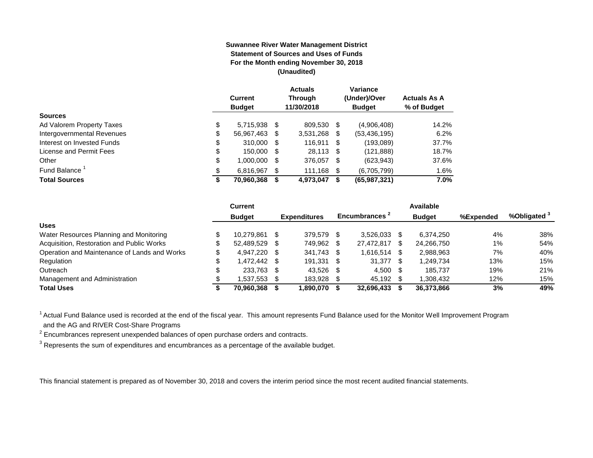#### **Suwannee River Water Management District Statement of Sources and Uses of Funds For the Month ending November 30, 2018 (Unaudited)**

|                            |    | <b>Current</b><br><b>Budget</b> |   | <b>Actuals</b><br><b>Through</b><br>11/30/2018 |      | <b>Variance</b><br>(Under)/Over<br><b>Budget</b> | <b>Actuals As A</b><br>% of Budget |
|----------------------------|----|---------------------------------|---|------------------------------------------------|------|--------------------------------------------------|------------------------------------|
| <b>Sources</b>             |    |                                 |   |                                                |      |                                                  |                                    |
| Ad Valorem Property Taxes  | \$ | 5,715,938 \$                    |   | 809,530 \$                                     |      | (4,906,408)                                      | 14.2%                              |
| Intergovernmental Revenues | \$ | 56,967,463 \$                   |   | $3,531,268$ \$                                 |      | (53, 436, 195)                                   | 6.2%                               |
| Interest on Invested Funds | \$ | 310,000 \$                      |   | 116,911 \$                                     |      | (193,089)                                        | 37.7%                              |
| License and Permit Fees    | \$ | 150,000 \$                      |   | 28.113 \$                                      |      | (121,888)                                        | 18.7%                              |
| Other                      | \$ | 1,000,000 \$                    |   | 376,057                                        | - \$ | (623, 943)                                       | 37.6%                              |
| Fund Balance               | \$ | 6,816,967                       | S | 111,168 \$                                     |      | (6,705,799)                                      | 1.6%                               |
| <b>Total Sources</b>       | S  | 70,960,368                      |   | 4,973,047                                      |      | (65,987,321)                                     | 7.0%                               |

|                                              | Current            |      |                     |     |                           |     | Available     |           |              |
|----------------------------------------------|--------------------|------|---------------------|-----|---------------------------|-----|---------------|-----------|--------------|
|                                              | <b>Budget</b>      |      | <b>Expenditures</b> |     | Encumbrances <sup>2</sup> |     | <b>Budget</b> | %Expended | %Obligated ° |
| <b>Uses</b>                                  |                    |      |                     |     |                           |     |               |           |              |
| Water Resources Planning and Monitoring      | 10.279.861         | - \$ | 379.579             | \$. | 3.526.033                 |     | 6.374.250     | 4%        | 38%          |
| Acquisition, Restoration and Public Works    | 52.489.529         | - \$ | 749.962             | \$. | 27,472,817                | S   | 24.266.750    | 1%        | 54%          |
| Operation and Maintenance of Lands and Works | \$<br>4,947,220    | - \$ | 341,743             | S   | 1,616,514                 |     | 2,988,963     | 7%        | 40%          |
| Regulation                                   | \$<br>1.472.442 \$ |      | 191,331             | \$. | 31,377                    | \$. | 1,249,734     | 13%       | 15%          |
| Outreach                                     | 233.763            | - \$ | 43.526              | -SS | 4.500                     | -SS | 185.737       | 19%       | 21%          |
| Management and Administration                | 537,553.           | - \$ | 183.928             |     | 45,192                    |     | 1.308.432     | 12%       | 15%          |
| <b>Total Uses</b>                            | 70.960.368         |      | 1,890,070           |     | 32,696,433                |     | 36,373,866    | 3%        | 49%          |

<sup>1</sup> Actual Fund Balance used is recorded at the end of the fiscal year. This amount represents Fund Balance used for the Monitor Well Improvement Program and the AG and RIVER Cost-Share Programs

 $2$  Encumbrances represent unexpended balances of open purchase orders and contracts.

 $^3$  Represents the sum of expenditures and encumbrances as a percentage of the available budget.

This financial statement is prepared as of November 30, 2018 and covers the interim period since the most recent audited financial statements.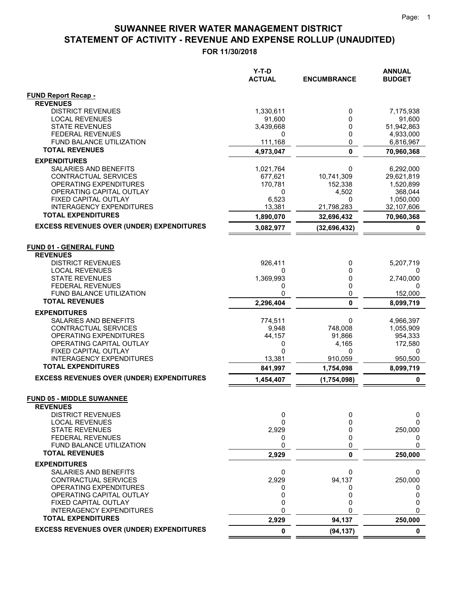|                                                              | $Y-T-D$<br><b>ACTUAL</b> | <b>ENCUMBRANCE</b> | <b>ANNUAL</b><br><b>BUDGET</b> |
|--------------------------------------------------------------|--------------------------|--------------------|--------------------------------|
| <b>FUND Report Recap -</b>                                   |                          |                    |                                |
| <b>REVENUES</b>                                              |                          |                    |                                |
| <b>DISTRICT REVENUES</b>                                     | 1,330,611                | 0                  | 7,175,938                      |
| <b>LOCAL REVENUES</b><br><b>STATE REVENUES</b>               | 91,600                   | 0<br>0             | 91,600                         |
| <b>FEDERAL REVENUES</b>                                      | 3,439,668<br>0           | 0                  | 51,942,863<br>4,933,000        |
| FUND BALANCE UTILIZATION                                     | 111,168                  | 0                  | 6,816,967                      |
| <b>TOTAL REVENUES</b>                                        | 4,973,047                | $\mathbf 0$        | 70,960,368                     |
| <b>EXPENDITURES</b>                                          |                          |                    |                                |
| SALARIES AND BENEFITS                                        | 1,021,764                | 0                  | 6,292,000                      |
| CONTRACTUAL SERVICES                                         | 677,621                  | 10,741,309         | 29,621,819                     |
| OPERATING EXPENDITURES                                       | 170,781                  | 152,338            | 1,520,899                      |
| OPERATING CAPITAL OUTLAY                                     | 0                        | 4,502              | 368,044                        |
| FIXED CAPITAL OUTLAY                                         | 6,523                    | 0                  | 1,050,000                      |
| <b>INTERAGENCY EXPENDITURES</b><br><b>TOTAL EXPENDITURES</b> | 13,381                   | 21,798,283         | 32,107,606                     |
| <b>EXCESS REVENUES OVER (UNDER) EXPENDITURES</b>             | 1,890,070                | 32,696,432         | 70,960,368                     |
|                                                              | 3,082,977                | (32, 696, 432)     | 0                              |
| <b>FUND 01 - GENERAL FUND</b>                                |                          |                    |                                |
| <b>REVENUES</b>                                              |                          |                    |                                |
| <b>DISTRICT REVENUES</b>                                     | 926,411                  | 0                  | 5,207,719                      |
| <b>LOCAL REVENUES</b>                                        | 0                        | 0                  | 0                              |
| <b>STATE REVENUES</b>                                        | 1,369,993                | 0                  | 2,740,000                      |
| <b>FEDERAL REVENUES</b>                                      | 0                        | 0                  | 0                              |
| FUND BALANCE UTILIZATION<br><b>TOTAL REVENUES</b>            | 0                        | 0<br>$\mathbf{0}$  | 152,000                        |
|                                                              | 2,296,404                |                    | 8,099,719                      |
| <b>EXPENDITURES</b>                                          |                          |                    |                                |
| SALARIES AND BENEFITS                                        | 774,511                  | 0                  | 4,966,397                      |
| CONTRACTUAL SERVICES                                         | 9,948                    | 748,008            | 1,055,909                      |
| OPERATING EXPENDITURES<br>OPERATING CAPITAL OUTLAY           | 44,157<br>0              | 91,866<br>4,165    | 954,333<br>172,580             |
| FIXED CAPITAL OUTLAY                                         | 0                        | 0                  | 0                              |
| <b>INTERAGENCY EXPENDITURES</b>                              | 13,381                   | 910,059            | 950,500                        |
| <b>TOTAL EXPENDITURES</b>                                    | 841,997                  | 1,754,098          | 8,099,719                      |
| <b>EXCESS REVENUES OVER (UNDER) EXPENDITURES</b>             | 1,454,407                | (1,754,098)        | 0                              |
| <b>FUND 05 - MIDDLE SUWANNEE</b>                             |                          |                    |                                |
| <b>REVENUES</b>                                              |                          |                    |                                |
| <b>DISTRICT REVENUES</b>                                     | 0                        | 0                  | 0                              |
| <b>LOCAL REVENUES</b>                                        | 0                        | 0                  | $\Omega$                       |
| <b>STATE REVENUES</b>                                        | 2,929                    | 0                  | 250,000                        |
| <b>FEDERAL REVENUES</b>                                      | 0                        | 0                  | 0                              |
| FUND BALANCE UTILIZATION                                     | 0                        | 0                  | 0                              |
| <b>TOTAL REVENUES</b>                                        | 2,929                    | 0                  | 250,000                        |
| <b>EXPENDITURES</b>                                          |                          |                    |                                |
| SALARIES AND BENEFITS                                        | 0                        | 0                  | 0                              |
| CONTRACTUAL SERVICES                                         | 2,929                    | 94,137             | 250,000                        |
| OPERATING EXPENDITURES                                       | 0                        | 0                  | 0                              |
| OPERATING CAPITAL OUTLAY<br>FIXED CAPITAL OUTLAY             | 0<br>0                   | 0<br>0             | 0<br>0                         |
| <b>INTERAGENCY EXPENDITURES</b>                              | 0                        | 0                  | 0                              |
| <b>TOTAL EXPENDITURES</b>                                    | 2,929                    | 94,137             | 250,000                        |
| <b>EXCESS REVENUES OVER (UNDER) EXPENDITURES</b>             | 0                        | (94, 137)          | 0                              |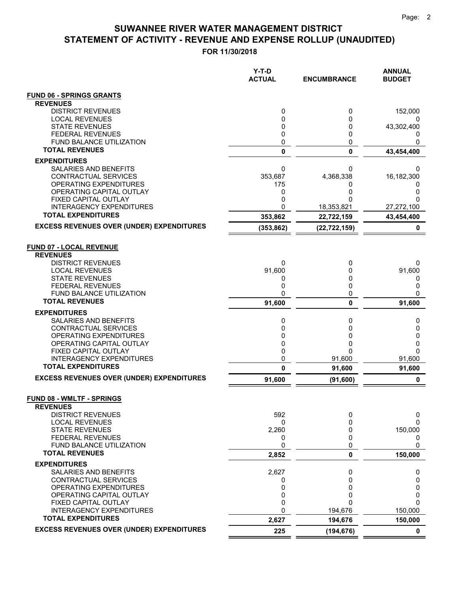|                                                              | $Y-T-D$<br><b>ACTUAL</b> | <b>ENCUMBRANCE</b> | <b>ANNUAL</b><br><b>BUDGET</b> |
|--------------------------------------------------------------|--------------------------|--------------------|--------------------------------|
| <b>FUND 06 - SPRINGS GRANTS</b>                              |                          |                    |                                |
| <b>REVENUES</b>                                              |                          |                    |                                |
| <b>DISTRICT REVENUES</b>                                     | 0                        | 0                  | 152,000                        |
| <b>LOCAL REVENUES</b><br><b>STATE REVENUES</b>               | 0<br>0                   | 0<br>0             | 43,302,400                     |
| <b>FEDERAL REVENUES</b>                                      | 0                        | 0                  |                                |
| FUND BALANCE UTILIZATION                                     | 0                        | 0                  | 0                              |
| <b>TOTAL REVENUES</b>                                        | 0                        | 0                  | 43,454,400                     |
| <b>EXPENDITURES</b>                                          |                          |                    |                                |
| SALARIES AND BENEFITS<br>CONTRACTUAL SERVICES                | 0<br>353,687             | 0<br>4,368,338     | 0<br>16,182,300                |
| OPERATING EXPENDITURES                                       | 175                      | 0                  | 0                              |
| OPERATING CAPITAL OUTLAY                                     | 0                        | 0                  | 0                              |
| FIXED CAPITAL OUTLAY                                         | 0                        | O                  | ი                              |
| <b>INTERAGENCY EXPENDITURES</b><br><b>TOTAL EXPENDITURES</b> | 0                        | 18,353,821         | 27,272,100                     |
|                                                              | 353,862                  | 22,722,159         | 43,454,400                     |
| <b>EXCESS REVENUES OVER (UNDER) EXPENDITURES</b>             | (353, 862)               | (22, 722, 159)     | 0                              |
| <b>FUND 07 - LOCAL REVENUE</b><br><b>REVENUES</b>            |                          |                    |                                |
| <b>DISTRICT REVENUES</b><br><b>LOCAL REVENUES</b>            | 0<br>91,600              | 0<br>0             | 0<br>91,600                    |
| <b>STATE REVENUES</b>                                        | 0                        | 0                  | 0                              |
| <b>FEDERAL REVENUES</b>                                      | 0                        | 0                  | 0                              |
| FUND BALANCE UTILIZATION                                     | 0                        | 0                  | 0                              |
| <b>TOTAL REVENUES</b>                                        | 91,600                   | 0                  | 91,600                         |
| <b>EXPENDITURES</b>                                          |                          |                    |                                |
| SALARIES AND BENEFITS<br>CONTRACTUAL SERVICES                | 0<br>0                   | 0<br>0             | 0<br>0                         |
| OPERATING EXPENDITURES                                       | 0                        | 0                  | 0                              |
| OPERATING CAPITAL OUTLAY                                     | 0                        | 0                  | 0                              |
| FIXED CAPITAL OUTLAY                                         | 0                        | $\Omega$           | $\Omega$                       |
| <b>INTERAGENCY EXPENDITURES</b><br><b>TOTAL EXPENDITURES</b> | 0                        | 91,600             | 91,600                         |
|                                                              | 0                        | 91,600             | 91,600                         |
| <b>EXCESS REVENUES OVER (UNDER) EXPENDITURES</b>             | 91,600                   | (91, 600)          | 0                              |
| <b>FUND 08 - WMLTF - SPRINGS</b><br><b>REVENUES</b>          |                          |                    |                                |
| <b>DISTRICT REVENUES</b>                                     | 592                      | 0                  | 0                              |
| <b>LOCAL REVENUES</b><br><b>STATE REVENUES</b>               | 0<br>2,260               | 0<br>0             | 0<br>150,000                   |
| <b>FEDERAL REVENUES</b>                                      | 0                        | 0                  |                                |
| FUND BALANCE UTILIZATION                                     | 0                        | 0                  | 0                              |
| <b>TOTAL REVENUES</b>                                        | 2,852                    | 0                  | 150,000                        |
| <b>EXPENDITURES</b>                                          |                          |                    |                                |
| <b>SALARIES AND BENEFITS</b>                                 | 2,627                    | 0<br>0             | 0                              |
| CONTRACTUAL SERVICES<br>OPERATING EXPENDITURES               | 0<br>0                   | 0                  | 0<br>0                         |
| OPERATING CAPITAL OUTLAY                                     | 0                        | 0                  | 0                              |
| FIXED CAPITAL OUTLAY                                         | 0                        | $\Omega$           | 0                              |
| <b>INTERAGENCY EXPENDITURES</b>                              | 0                        | 194,676            | 150,000                        |
| <b>TOTAL EXPENDITURES</b>                                    | 2,627                    | 194,676            | 150,000                        |
| <b>EXCESS REVENUES OVER (UNDER) EXPENDITURES</b>             | 225                      | (194, 676)         | $\mathbf 0$                    |
|                                                              |                          |                    |                                |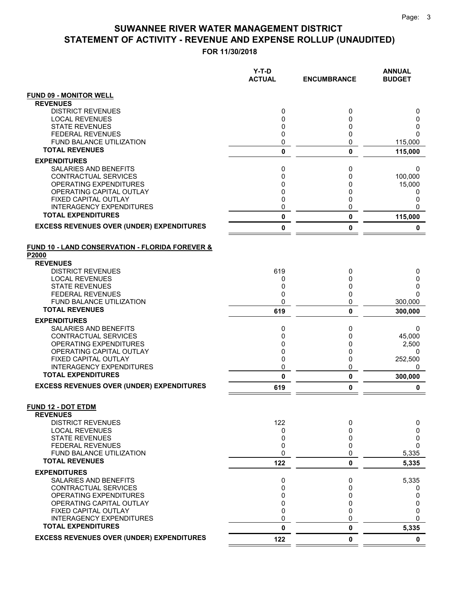|                                                                | $Y-T-D$<br><b>ACTUAL</b> | <b>ENCUMBRANCE</b> | <b>ANNUAL</b><br><b>BUDGET</b> |
|----------------------------------------------------------------|--------------------------|--------------------|--------------------------------|
| <b>FUND 09 - MONITOR WELL</b>                                  |                          |                    |                                |
| <b>REVENUES</b>                                                |                          |                    |                                |
| <b>DISTRICT REVENUES</b>                                       | 0                        | 0                  | 0                              |
| <b>LOCAL REVENUES</b>                                          | 0                        | 0                  | 0                              |
| <b>STATE REVENUES</b><br><b>FEDERAL REVENUES</b>               | 0<br>0                   | 0<br>0             | 0<br>0                         |
| <b>FUND BALANCE UTILIZATION</b>                                | 0                        | 0                  | 115,000                        |
| <b>TOTAL REVENUES</b>                                          | 0                        | 0                  | 115,000                        |
| <b>EXPENDITURES</b>                                            |                          |                    |                                |
| SALARIES AND BENEFITS                                          | 0                        | 0                  | 0                              |
| CONTRACTUAL SERVICES                                           | 0                        | 0                  | 100,000                        |
| OPERATING EXPENDITURES                                         | 0                        | 0                  | 15,000                         |
| OPERATING CAPITAL OUTLAY                                       | 0                        | 0                  | 0                              |
| <b>FIXED CAPITAL OUTLAY</b><br><b>INTERAGENCY EXPENDITURES</b> | 0<br>0                   | 0<br>0             | 0<br>0                         |
| <b>TOTAL EXPENDITURES</b>                                      | 0                        | 0                  | 115,000                        |
| <b>EXCESS REVENUES OVER (UNDER) EXPENDITURES</b>               | 0                        | 0                  | 0                              |
| <b>FUND 10 - LAND CONSERVATION - FLORIDA FOREVER &amp;</b>     |                          |                    |                                |
| P2000                                                          |                          |                    |                                |
| <b>REVENUES</b><br><b>DISTRICT REVENUES</b>                    | 619                      |                    |                                |
| <b>LOCAL REVENUES</b>                                          | 0                        | 0<br>0             | 0<br>0                         |
| <b>STATE REVENUES</b>                                          | 0                        | 0                  | 0                              |
| <b>FEDERAL REVENUES</b>                                        | 0                        | 0                  | 0                              |
| <b>FUND BALANCE UTILIZATION</b>                                | 0                        | 0                  | 300,000                        |
| <b>TOTAL REVENUES</b>                                          | 619                      | 0                  | 300,000                        |
| <b>EXPENDITURES</b>                                            |                          |                    |                                |
| SALARIES AND BENEFITS                                          | 0                        | 0                  | 0                              |
| CONTRACTUAL SERVICES                                           | 0                        | 0                  | 45,000                         |
| OPERATING EXPENDITURES                                         | 0                        | 0<br>0             | 2,500                          |
| OPERATING CAPITAL OUTLAY<br>FIXED CAPITAL OUTLAY               | 0<br>0                   | 0                  | 0<br>252,500                   |
| <b>INTERAGENCY EXPENDITURES</b>                                | 0                        | 0                  | 0                              |
| <b>TOTAL EXPENDITURES</b>                                      | 0                        | 0                  | 300,000                        |
| <b>EXCESS REVENUES OVER (UNDER) EXPENDITURES</b>               | 619                      | O                  | 0                              |
| <b>FUND 12 - DOT ETDM</b>                                      |                          |                    |                                |
| <b>REVENUES</b>                                                |                          |                    |                                |
| <b>DISTRICT REVENUES</b>                                       | 122                      | 0                  | 0                              |
| <b>LOCAL REVENUES</b><br><b>STATE REVENUES</b>                 | 0<br>0                   | 0<br>0             | 0<br>0                         |
| <b>FEDERAL REVENUES</b>                                        | 0                        | 0                  | 0                              |
| FUND BALANCE UTILIZATION                                       | 0                        | 0                  | 5,335                          |
| <b>TOTAL REVENUES</b>                                          | 122                      | 0                  | 5,335                          |
| <b>EXPENDITURES</b>                                            |                          |                    |                                |
| <b>SALARIES AND BENEFITS</b>                                   | 0                        | 0                  | 5,335                          |
| CONTRACTUAL SERVICES                                           | 0                        | 0                  | 0                              |
| <b>OPERATING EXPENDITURES</b>                                  | 0                        | 0                  | 0                              |
| OPERATING CAPITAL OUTLAY<br>FIXED CAPITAL OUTLAY               | 0<br>0                   | 0<br>0             | 0<br>0                         |
| <b>INTERAGENCY EXPENDITURES</b>                                | 0                        | 0                  | 0                              |
| <b>TOTAL EXPENDITURES</b>                                      | 0                        | 0                  | 5,335                          |
| <b>EXCESS REVENUES OVER (UNDER) EXPENDITURES</b>               | 122                      | 0                  | $\mathbf 0$                    |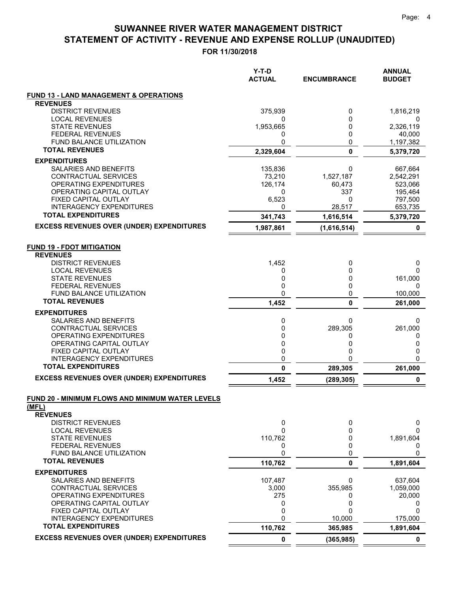|                                                           | $Y-T-D$<br><b>ACTUAL</b> | <b>ENCUMBRANCE</b>  | <b>ANNUAL</b><br><b>BUDGET</b> |
|-----------------------------------------------------------|--------------------------|---------------------|--------------------------------|
| <b>FUND 13 - LAND MANAGEMENT &amp; OPERATIONS</b>         |                          |                     |                                |
| <b>REVENUES</b><br><b>DISTRICT REVENUES</b>               | 375,939                  | 0                   | 1,816,219                      |
| <b>LOCAL REVENUES</b>                                     | 0                        | 0                   | 0                              |
| <b>STATE REVENUES</b>                                     | 1,953,665                | 0                   | 2,326,119                      |
| <b>FEDERAL REVENUES</b>                                   | 0                        | 0                   | 40,000                         |
| FUND BALANCE UTILIZATION                                  | 0                        | 0                   | 1,197,382                      |
| <b>TOTAL REVENUES</b>                                     | 2,329,604                | 0                   | 5,379,720                      |
| <b>EXPENDITURES</b>                                       |                          |                     |                                |
| SALARIES AND BENEFITS                                     | 135,836                  | 0                   | 667,664                        |
| CONTRACTUAL SERVICES<br>OPERATING EXPENDITURES            | 73,210<br>126,174        | 1,527,187<br>60,473 | 2,542,291<br>523,066           |
| OPERATING CAPITAL OUTLAY                                  | 0                        | 337                 | 195,464                        |
| FIXED CAPITAL OUTLAY                                      | 6,523                    | 0                   | 797,500                        |
| <b>INTERAGENCY EXPENDITURES</b>                           | 0                        | 28,517              | 653,735                        |
| <b>TOTAL EXPENDITURES</b>                                 | 341,743                  | 1,616,514           | 5,379,720                      |
| <b>EXCESS REVENUES OVER (UNDER) EXPENDITURES</b>          | 1,987,861                | (1,616,514)         | 0                              |
| <b>FUND 19 - FDOT MITIGATION</b><br><b>REVENUES</b>       |                          |                     |                                |
| <b>DISTRICT REVENUES</b>                                  | 1,452                    | 0                   | 0                              |
| <b>LOCAL REVENUES</b>                                     | 0                        | 0                   | 0                              |
| <b>STATE REVENUES</b><br><b>FEDERAL REVENUES</b>          | 0<br>0                   | 0<br>0              | 161,000<br>0                   |
| FUND BALANCE UTILIZATION                                  | 0                        | 0                   | 100,000                        |
| <b>TOTAL REVENUES</b>                                     | 1,452                    | 0                   | 261,000                        |
| <b>EXPENDITURES</b>                                       |                          |                     |                                |
| SALARIES AND BENEFITS                                     | 0                        | 0                   | 0                              |
| CONTRACTUAL SERVICES                                      | 0                        | 289,305             | 261,000                        |
| OPERATING EXPENDITURES<br>OPERATING CAPITAL OUTLAY        | 0<br>0                   | 0<br>0              | 0<br>0                         |
| FIXED CAPITAL OUTLAY                                      | 0                        | 0                   | 0                              |
| <b>INTERAGENCY EXPENDITURES</b>                           | 0                        | 0                   | 0                              |
| <b>TOTAL EXPENDITURES</b>                                 | 0                        | 289,305             | 261,000                        |
| <b>EXCESS REVENUES OVER (UNDER) EXPENDITURES</b>          | 1,452                    | (289, 305)          | 0                              |
| FUND 20 - MINIMUM FLOWS AND MINIMUM WATER LEVELS<br>(MFL) |                          |                     |                                |
| <b>REVENUES</b><br><b>DISTRICT REVENUES</b>               | 0                        | 0                   | 0                              |
| <b>LOCAL REVENUES</b>                                     | 0                        | 0                   | 0                              |
| <b>STATE REVENUES</b>                                     | 110,762                  | 0                   | 1,891,604                      |
| <b>FEDERAL REVENUES</b>                                   | 0                        | 0                   | 0                              |
| <b>FUND BALANCE UTILIZATION</b>                           | 0                        | 0                   | 0                              |
| <b>TOTAL REVENUES</b>                                     | 110,762                  | 0                   | 1,891,604                      |
| <b>EXPENDITURES</b>                                       |                          |                     |                                |
| <b>SALARIES AND BENEFITS</b><br>CONTRACTUAL SERVICES      | 107,487<br>3,000         | 0<br>355,985        | 637,604<br>1,059,000           |
| OPERATING EXPENDITURES                                    | 275                      | 0                   | 20,000                         |
| OPERATING CAPITAL OUTLAY                                  | 0                        | 0                   | 0                              |
| FIXED CAPITAL OUTLAY                                      | 0                        | 0                   | 0                              |
| <b>INTERAGENCY EXPENDITURES</b>                           | 0                        | 10,000              | 175,000                        |
| <b>TOTAL EXPENDITURES</b>                                 | 110,762                  | 365,985             | 1,891,604                      |
| <b>EXCESS REVENUES OVER (UNDER) EXPENDITURES</b>          | 0                        | (365, 985)          | 0                              |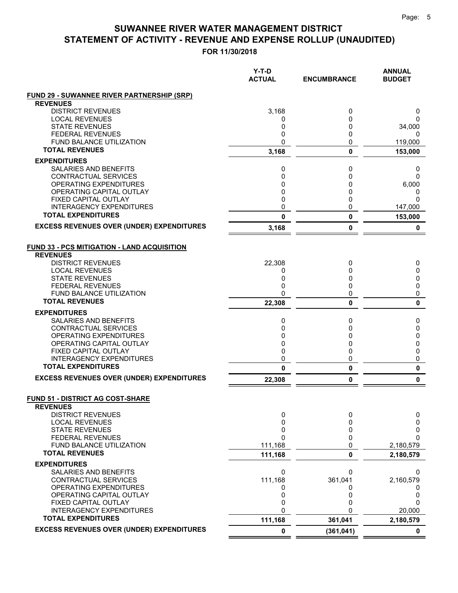|                                                          | $Y-T-D$<br><b>ACTUAL</b> | <b>ENCUMBRANCE</b> | <b>ANNUAL</b><br><b>BUDGET</b> |
|----------------------------------------------------------|--------------------------|--------------------|--------------------------------|
| <b>FUND 29 - SUWANNEE RIVER PARTNERSHIP (SRP)</b>        |                          |                    |                                |
| <b>REVENUES</b>                                          |                          |                    |                                |
| <b>DISTRICT REVENUES</b>                                 | 3,168                    | 0                  | 0                              |
| <b>LOCAL REVENUES</b>                                    | 0                        | 0                  | 0                              |
| <b>STATE REVENUES</b>                                    | 0                        | 0                  | 34,000                         |
| <b>FEDERAL REVENUES</b>                                  | 0                        | 0                  | 0                              |
| <b>FUND BALANCE UTILIZATION</b><br><b>TOTAL REVENUES</b> | 0                        | 0                  | 119,000                        |
|                                                          | 3,168                    | 0                  | 153,000                        |
| <b>EXPENDITURES</b>                                      |                          |                    |                                |
| <b>SALARIES AND BENEFITS</b>                             | 0                        | 0                  | 0                              |
| CONTRACTUAL SERVICES                                     | 0                        | 0                  | 0                              |
| <b>OPERATING EXPENDITURES</b>                            | 0                        | 0                  | 6,000                          |
| OPERATING CAPITAL OUTLAY                                 | 0                        | 0                  | 0                              |
| FIXED CAPITAL OUTLAY<br>INTERAGENCY EXPENDITURES         | 0<br>0                   | 0<br>0             | 0                              |
| <b>TOTAL EXPENDITURES</b>                                | 0                        | 0                  | 147,000<br>153,000             |
| <b>EXCESS REVENUES OVER (UNDER) EXPENDITURES</b>         | 3,168                    | 0                  | 0                              |
|                                                          |                          |                    |                                |
| <b>FUND 33 - PCS MITIGATION - LAND ACQUISITION</b>       |                          |                    |                                |
| <b>REVENUES</b>                                          |                          |                    |                                |
| <b>DISTRICT REVENUES</b>                                 | 22,308                   | 0                  | 0                              |
| <b>LOCAL REVENUES</b><br><b>STATE REVENUES</b>           | 0<br>0                   | 0<br>0             | 0<br>0                         |
| <b>FEDERAL REVENUES</b>                                  | 0                        | 0                  | 0                              |
| <b>FUND BALANCE UTILIZATION</b>                          | $\mathbf 0$              | 0                  | 0                              |
| <b>TOTAL REVENUES</b>                                    | 22,308                   | 0                  | 0                              |
| <b>EXPENDITURES</b>                                      |                          |                    |                                |
| <b>SALARIES AND BENEFITS</b>                             | 0                        | 0                  | 0                              |
| CONTRACTUAL SERVICES                                     | 0                        | 0                  | 0                              |
| <b>OPERATING EXPENDITURES</b>                            | 0                        | 0                  | 0                              |
| OPERATING CAPITAL OUTLAY                                 | 0                        | 0                  | 0                              |
| FIXED CAPITAL OUTLAY                                     | 0                        | 0                  | 0                              |
| <b>INTERAGENCY EXPENDITURES</b>                          | 0                        | 0                  | 0                              |
| <b>TOTAL EXPENDITURES</b>                                | 0                        | 0                  | 0                              |
| <b>EXCESS REVENUES OVER (UNDER) EXPENDITURES</b>         | 22,308                   | 0                  | 0                              |
|                                                          |                          |                    |                                |
| <b>FUND 51 - DISTRICT AG COST-SHARE</b>                  |                          |                    |                                |
| <b>REVENUES</b><br><b>DISTRICT REVENUES</b>              | 0                        | 0                  | 0                              |
| <b>LOCAL REVENUES</b>                                    | 0                        | 0                  | 0                              |
| <b>STATE REVENUES</b>                                    | 0                        | 0                  | 0                              |
| <b>FEDERAL REVENUES</b>                                  | 0                        | 0                  | 0                              |
| FUND BALANCE UTILIZATION                                 | 111,168                  | 0                  | 2,180,579                      |
| <b>TOTAL REVENUES</b>                                    | 111,168                  | 0                  | 2,180,579                      |
| <b>EXPENDITURES</b>                                      |                          |                    |                                |
| SALARIES AND BENEFITS                                    | 0                        | 0                  | 0                              |
| CONTRACTUAL SERVICES                                     | 111,168                  | 361,041            | 2,160,579                      |
| OPERATING EXPENDITURES                                   | 0                        | 0                  | 0                              |
| OPERATING CAPITAL OUTLAY                                 | 0                        | 0                  | 0                              |
| FIXED CAPITAL OUTLAY                                     | 0                        | 0                  | 0                              |
| <b>INTERAGENCY EXPENDITURES</b>                          | 0                        | ŋ                  | 20,000                         |
| <b>TOTAL EXPENDITURES</b>                                | 111,168                  | 361,041            | 2,180,579                      |
| <b>EXCESS REVENUES OVER (UNDER) EXPENDITURES</b>         | 0                        | (361, 041)         | 0                              |
|                                                          |                          |                    |                                |